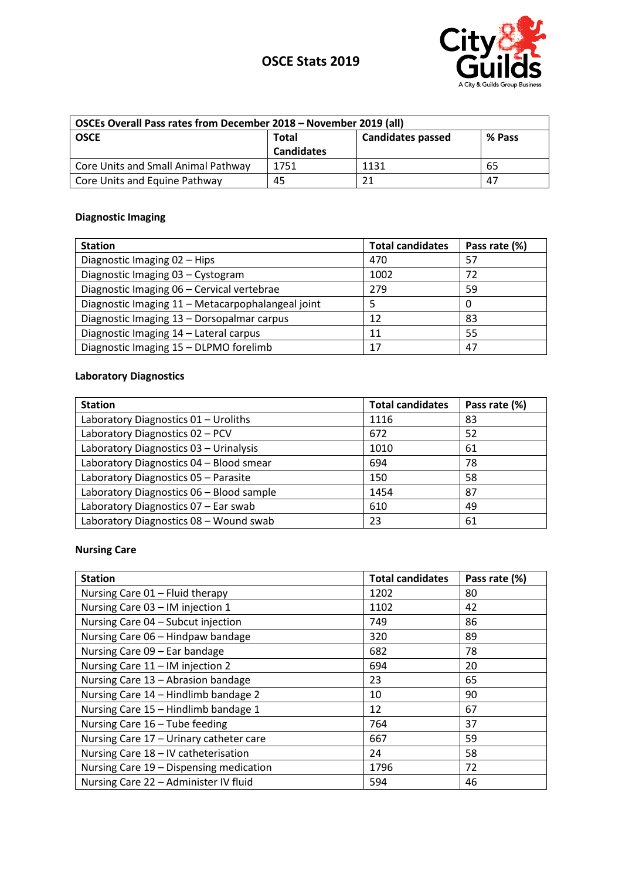



| OSCEs Overall Pass rates from December 2018 - November 2019 (all) |                   |                          |        |
|-------------------------------------------------------------------|-------------------|--------------------------|--------|
| <b>OSCE</b>                                                       | Total             | <b>Candidates passed</b> | % Pass |
|                                                                   | <b>Candidates</b> |                          |        |
| Core Units and Small Animal Pathway                               | 1751              | 1131                     | 65     |
| Core Units and Equine Pathway                                     | 45                | 21                       | 47     |

# **Diagnostic Imaging**

| <b>Station</b>                                    | <b>Total candidates</b> | Pass rate (%) |
|---------------------------------------------------|-------------------------|---------------|
| Diagnostic Imaging 02 - Hips                      | 470                     | 57            |
| Diagnostic Imaging 03 - Cystogram                 | 1002                    | 72            |
| Diagnostic Imaging 06 - Cervical vertebrae        | 279                     | 59            |
| Diagnostic Imaging 11 - Metacarpophalangeal joint |                         | 0             |
| Diagnostic Imaging 13 - Dorsopalmar carpus        | 12                      | 83            |
| Diagnostic Imaging 14 - Lateral carpus            | 11                      | 55            |
| Diagnostic Imaging 15 - DLPMO forelimb            | 17                      | 47            |

## **Laboratory Diagnostics**

| <b>Station</b>                           | <b>Total candidates</b> | Pass rate (%) |
|------------------------------------------|-------------------------|---------------|
| Laboratory Diagnostics 01 - Uroliths     | 1116                    | 83            |
| Laboratory Diagnostics 02 - PCV          | 672                     | 52            |
| Laboratory Diagnostics 03 - Urinalysis   | 1010                    | 61            |
| Laboratory Diagnostics 04 - Blood smear  | 694                     | 78            |
| Laboratory Diagnostics 05 - Parasite     | 150                     | 58            |
| Laboratory Diagnostics 06 - Blood sample | 1454                    | 87            |
| Laboratory Diagnostics 07 - Ear swab     | 610                     | 49            |
| Laboratory Diagnostics 08 - Wound swab   | 23                      | 61            |

## **Nursing Care**

| <b>Station</b>                          | <b>Total candidates</b> | Pass rate (%) |
|-----------------------------------------|-------------------------|---------------|
| Nursing Care 01 - Fluid therapy         | 1202                    | 80            |
| Nursing Care 03 - IM injection 1        | 1102                    | 42            |
| Nursing Care 04 - Subcut injection      | 749                     | 86            |
| Nursing Care 06 - Hindpaw bandage       | 320                     | 89            |
| Nursing Care 09 - Ear bandage           | 682                     | 78            |
| Nursing Care 11 - IM injection 2        | 694                     | 20            |
| Nursing Care 13 - Abrasion bandage      | 23                      | 65            |
| Nursing Care 14 - Hindlimb bandage 2    | 10                      | 90            |
| Nursing Care 15 - Hindlimb bandage 1    | 12                      | 67            |
| Nursing Care 16 - Tube feeding          | 764                     | 37            |
| Nursing Care 17 - Urinary catheter care | 667                     | 59            |
| Nursing Care 18 - IV catheterisation    | 24                      | 58            |
| Nursing Care 19 - Dispensing medication | 1796                    | 72            |
| Nursing Care 22 - Administer IV fluid   | 594                     | 46            |